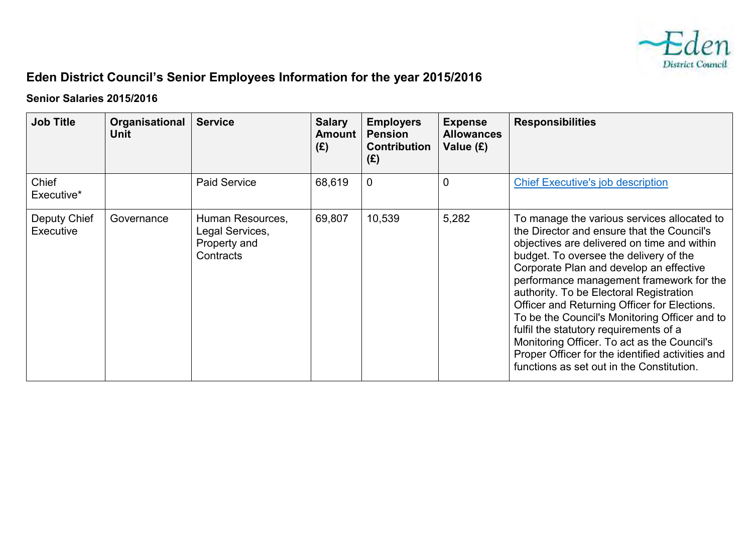

## **Eden District Council's Senior Employees Information for the year 2015/2016**

## **Senior Salaries 2015/2016**

| <b>Job Title</b>          | Organisational<br><b>Unit</b> | <b>Service</b>                                                   | <b>Salary</b><br><b>Amount</b><br>(E) | <b>Employers</b><br><b>Pension</b><br><b>Contribution</b><br>(E) | <b>Expense</b><br><b>Allowances</b><br>Value (£) | <b>Responsibilities</b>                                                                                                                                                                                                                                                                                                                                                                                                                                                                                                                                                                                         |
|---------------------------|-------------------------------|------------------------------------------------------------------|---------------------------------------|------------------------------------------------------------------|--------------------------------------------------|-----------------------------------------------------------------------------------------------------------------------------------------------------------------------------------------------------------------------------------------------------------------------------------------------------------------------------------------------------------------------------------------------------------------------------------------------------------------------------------------------------------------------------------------------------------------------------------------------------------------|
| Chief<br>Executive*       |                               | <b>Paid Service</b>                                              | 68,619                                | $\mathbf 0$                                                      | $\overline{0}$                                   | <b>Chief Executive's job description</b>                                                                                                                                                                                                                                                                                                                                                                                                                                                                                                                                                                        |
| Deputy Chief<br>Executive | Governance                    | Human Resources,<br>Legal Services,<br>Property and<br>Contracts | 69,807                                | 10,539                                                           | 5,282                                            | To manage the various services allocated to<br>the Director and ensure that the Council's<br>objectives are delivered on time and within<br>budget. To oversee the delivery of the<br>Corporate Plan and develop an effective<br>performance management framework for the<br>authority. To be Electoral Registration<br>Officer and Returning Officer for Elections.<br>To be the Council's Monitoring Officer and to<br>fulfil the statutory requirements of a<br>Monitoring Officer. To act as the Council's<br>Proper Officer for the identified activities and<br>functions as set out in the Constitution. |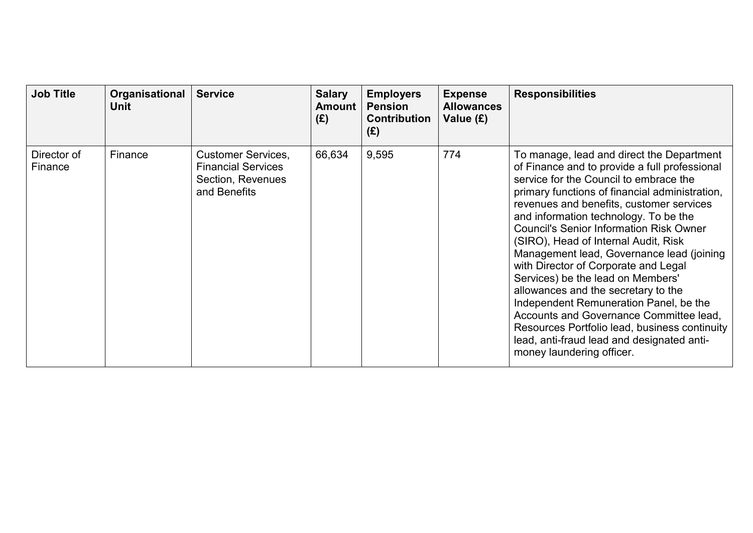| <b>Job Title</b>       | Organisational<br>Unit | <b>Service</b>                                                                              | <b>Salary</b><br><b>Amount</b><br>(E) | <b>Employers</b><br><b>Pension</b><br><b>Contribution</b><br>(E) | <b>Expense</b><br><b>Allowances</b><br>Value (£) | <b>Responsibilities</b>                                                                                                                                                                                                                                                                                                                                                                                                                                                                                                                                                                                                                                                                                                                                 |
|------------------------|------------------------|---------------------------------------------------------------------------------------------|---------------------------------------|------------------------------------------------------------------|--------------------------------------------------|---------------------------------------------------------------------------------------------------------------------------------------------------------------------------------------------------------------------------------------------------------------------------------------------------------------------------------------------------------------------------------------------------------------------------------------------------------------------------------------------------------------------------------------------------------------------------------------------------------------------------------------------------------------------------------------------------------------------------------------------------------|
| Director of<br>Finance | Finance                | <b>Customer Services,</b><br><b>Financial Services</b><br>Section, Revenues<br>and Benefits | 66,634                                | 9,595                                                            | 774                                              | To manage, lead and direct the Department<br>of Finance and to provide a full professional<br>service for the Council to embrace the<br>primary functions of financial administration,<br>revenues and benefits, customer services<br>and information technology. To be the<br><b>Council's Senior Information Risk Owner</b><br>(SIRO), Head of Internal Audit, Risk<br>Management lead, Governance lead (joining<br>with Director of Corporate and Legal<br>Services) be the lead on Members'<br>allowances and the secretary to the<br>Independent Remuneration Panel, be the<br>Accounts and Governance Committee lead,<br>Resources Portfolio lead, business continuity<br>lead, anti-fraud lead and designated anti-<br>money laundering officer. |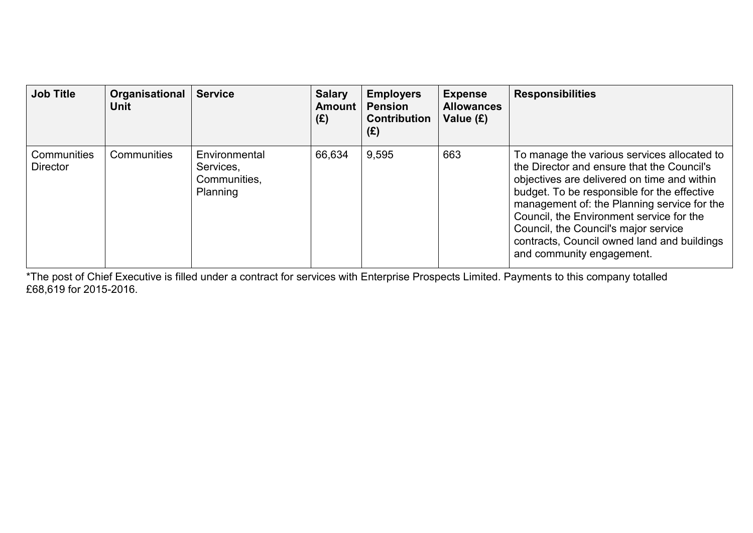| <b>Job Title</b>               | Organisational<br><b>Unit</b> | <b>Service</b>                                         | <b>Salary</b><br><b>Amount</b><br>(E) | <b>Employers</b><br><b>Pension</b><br><b>Contribution</b><br>(E) | <b>Expense</b><br><b>Allowances</b><br>Value (£) | <b>Responsibilities</b>                                                                                                                                                                                                                                                                                                                                                                                |
|--------------------------------|-------------------------------|--------------------------------------------------------|---------------------------------------|------------------------------------------------------------------|--------------------------------------------------|--------------------------------------------------------------------------------------------------------------------------------------------------------------------------------------------------------------------------------------------------------------------------------------------------------------------------------------------------------------------------------------------------------|
| Communities<br><b>Director</b> | Communities                   | Environmental<br>Services,<br>Communities,<br>Planning | 66,634                                | 9,595                                                            | 663                                              | To manage the various services allocated to<br>the Director and ensure that the Council's<br>objectives are delivered on time and within<br>budget. To be responsible for the effective<br>management of: the Planning service for the<br>Council, the Environment service for the<br>Council, the Council's major service<br>contracts, Council owned land and buildings<br>and community engagement. |

\*The post of Chief Executive is filled under a contract for services with Enterprise Prospects Limited. Payments to this company totalled £68,619 for 2015-2016.